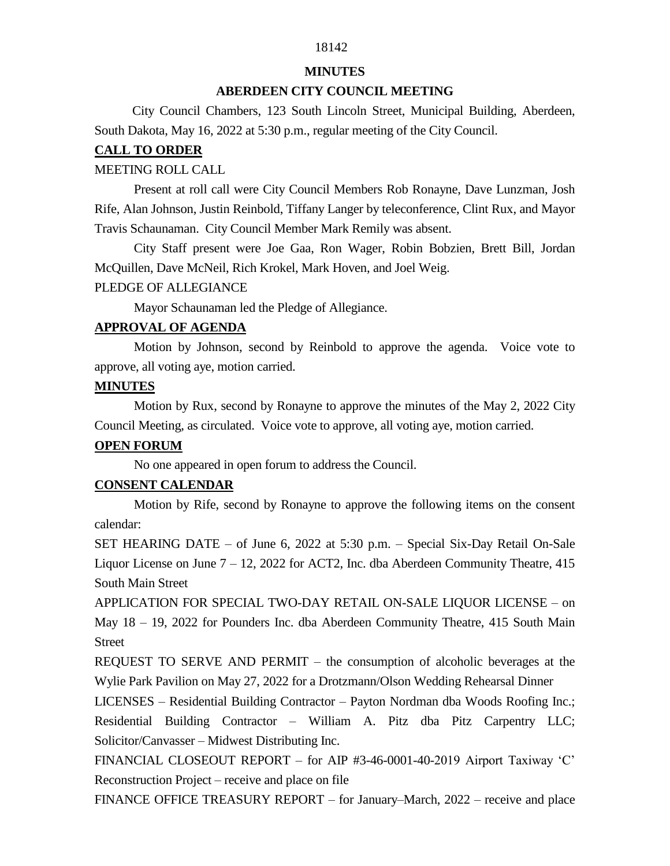## 18142

#### **MINUTES**

#### **ABERDEEN CITY COUNCIL MEETING**

 City Council Chambers, 123 South Lincoln Street, Municipal Building, Aberdeen, South Dakota, May 16, 2022 at 5:30 p.m., regular meeting of the City Council.

#### **CALL TO ORDER**

#### MEETING ROLL CALL

Present at roll call were City Council Members Rob Ronayne, Dave Lunzman, Josh Rife, Alan Johnson, Justin Reinbold, Tiffany Langer by teleconference, Clint Rux, and Mayor Travis Schaunaman. City Council Member Mark Remily was absent.

City Staff present were Joe Gaa, Ron Wager, Robin Bobzien, Brett Bill, Jordan McQuillen, Dave McNeil, Rich Krokel, Mark Hoven, and Joel Weig.

#### PLEDGE OF ALLEGIANCE

Mayor Schaunaman led the Pledge of Allegiance.

### **APPROVAL OF AGENDA**

Motion by Johnson, second by Reinbold to approve the agenda. Voice vote to approve, all voting aye, motion carried.

#### **MINUTES**

Motion by Rux, second by Ronayne to approve the minutes of the May 2, 2022 City Council Meeting, as circulated. Voice vote to approve, all voting aye, motion carried.

### **OPEN FORUM**

No one appeared in open forum to address the Council.

## **CONSENT CALENDAR**

Motion by Rife, second by Ronayne to approve the following items on the consent calendar:

SET HEARING DATE – of June 6, 2022 at 5:30 p.m. – Special Six-Day Retail On-Sale Liquor License on June  $7 - 12$ , 2022 for ACT2, Inc. dba Aberdeen Community Theatre, 415 South Main Street

APPLICATION FOR SPECIAL TWO-DAY RETAIL ON-SALE LIQUOR LICENSE – on May 18 – 19, 2022 for Pounders Inc. dba Aberdeen Community Theatre, 415 South Main Street

REQUEST TO SERVE AND PERMIT – the consumption of alcoholic beverages at the Wylie Park Pavilion on May 27, 2022 for a Drotzmann/Olson Wedding Rehearsal Dinner

LICENSES – Residential Building Contractor – Payton Nordman dba Woods Roofing Inc.; Residential Building Contractor – William A. Pitz dba Pitz Carpentry LLC; Solicitor/Canvasser – Midwest Distributing Inc.

FINANCIAL CLOSEOUT REPORT – for AIP #3-46-0001-40-2019 Airport Taxiway 'C' Reconstruction Project – receive and place on file

FINANCE OFFICE TREASURY REPORT – for January–March, 2022 – receive and place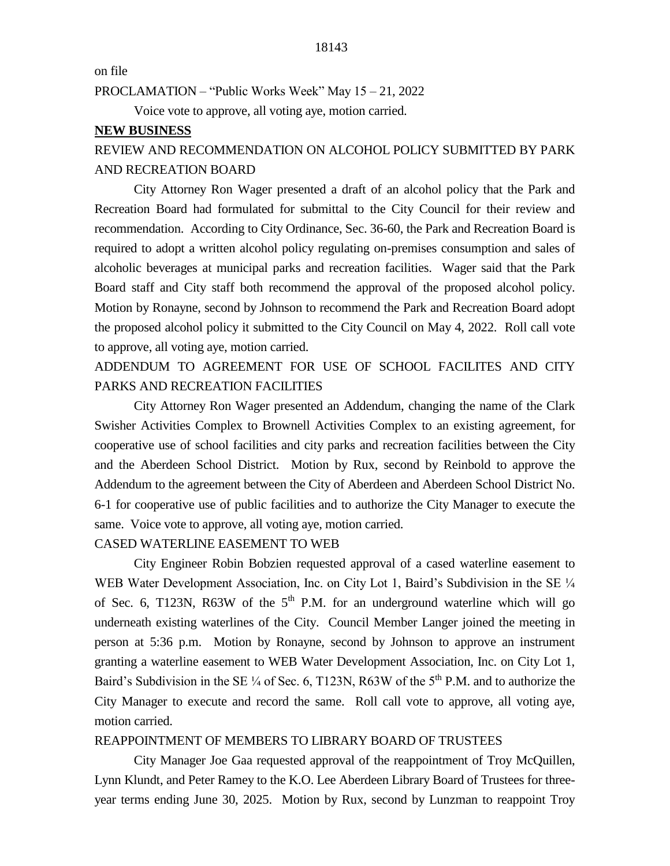on file

PROCLAMATION – "Public Works Week" May 15 – 21, 2022

Voice vote to approve, all voting aye, motion carried.

#### **NEW BUSINESS**

# REVIEW AND RECOMMENDATION ON ALCOHOL POLICY SUBMITTED BY PARK AND RECREATION BOARD

City Attorney Ron Wager presented a draft of an alcohol policy that the Park and Recreation Board had formulated for submittal to the City Council for their review and recommendation. According to City Ordinance, Sec. 36-60, the Park and Recreation Board is required to adopt a written alcohol policy regulating on-premises consumption and sales of alcoholic beverages at municipal parks and recreation facilities. Wager said that the Park Board staff and City staff both recommend the approval of the proposed alcohol policy. Motion by Ronayne, second by Johnson to recommend the Park and Recreation Board adopt the proposed alcohol policy it submitted to the City Council on May 4, 2022. Roll call vote to approve, all voting aye, motion carried.

# ADDENDUM TO AGREEMENT FOR USE OF SCHOOL FACILITES AND CITY PARKS AND RECREATION FACILITIES

City Attorney Ron Wager presented an Addendum, changing the name of the Clark Swisher Activities Complex to Brownell Activities Complex to an existing agreement, for cooperative use of school facilities and city parks and recreation facilities between the City and the Aberdeen School District. Motion by Rux, second by Reinbold to approve the Addendum to the agreement between the City of Aberdeen and Aberdeen School District No. 6-1 for cooperative use of public facilities and to authorize the City Manager to execute the same. Voice vote to approve, all voting aye, motion carried.

## CASED WATERLINE EASEMENT TO WEB

City Engineer Robin Bobzien requested approval of a cased waterline easement to WEB Water Development Association, Inc. on City Lot 1, Baird's Subdivision in the SE  $\frac{1}{4}$ of Sec. 6, T123N, R63W of the  $5<sup>th</sup>$  P.M. for an underground waterline which will go underneath existing waterlines of the City. Council Member Langer joined the meeting in person at 5:36 p.m. Motion by Ronayne, second by Johnson to approve an instrument granting a waterline easement to WEB Water Development Association, Inc. on City Lot 1, Baird's Subdivision in the SE  $\frac{1}{4}$  of Sec. 6, T123N, R63W of the 5<sup>th</sup> P.M. and to authorize the City Manager to execute and record the same. Roll call vote to approve, all voting aye, motion carried.

## REAPPOINTMENT OF MEMBERS TO LIBRARY BOARD OF TRUSTEES

City Manager Joe Gaa requested approval of the reappointment of Troy McQuillen, Lynn Klundt, and Peter Ramey to the K.O. Lee Aberdeen Library Board of Trustees for threeyear terms ending June 30, 2025. Motion by Rux, second by Lunzman to reappoint Troy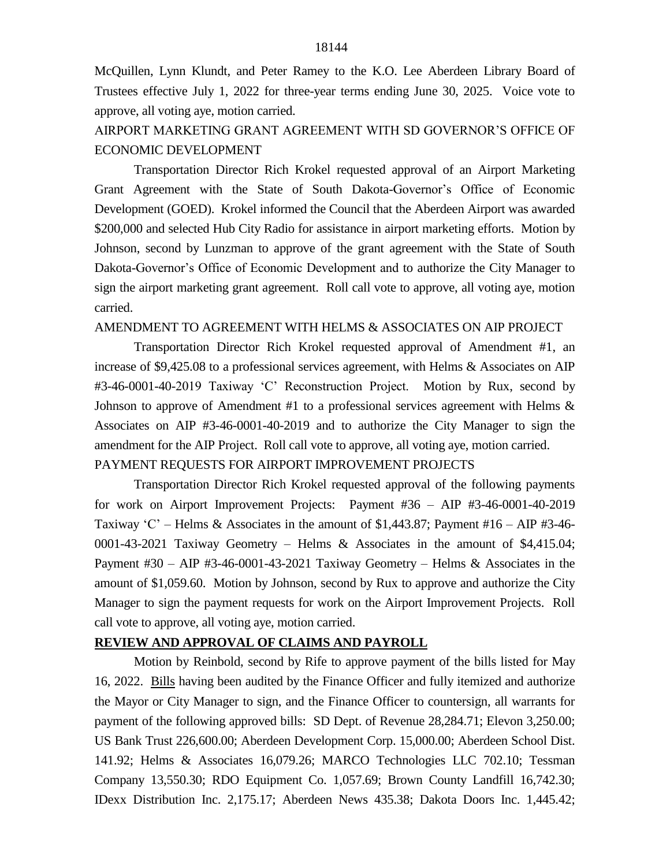McQuillen, Lynn Klundt, and Peter Ramey to the K.O. Lee Aberdeen Library Board of Trustees effective July 1, 2022 for three-year terms ending June 30, 2025. Voice vote to approve, all voting aye, motion carried.

AIRPORT MARKETING GRANT AGREEMENT WITH SD GOVERNOR'S OFFICE OF ECONOMIC DEVELOPMENT

Transportation Director Rich Krokel requested approval of an Airport Marketing Grant Agreement with the State of South Dakota-Governor's Office of Economic Development (GOED). Krokel informed the Council that the Aberdeen Airport was awarded \$200,000 and selected Hub City Radio for assistance in airport marketing efforts. Motion by Johnson, second by Lunzman to approve of the grant agreement with the State of South Dakota-Governor's Office of Economic Development and to authorize the City Manager to sign the airport marketing grant agreement. Roll call vote to approve, all voting aye, motion carried.

### AMENDMENT TO AGREEMENT WITH HELMS & ASSOCIATES ON AIP PROJECT

Transportation Director Rich Krokel requested approval of Amendment #1, an increase of \$9,425.08 to a professional services agreement, with Helms & Associates on AIP #3-46-0001-40-2019 Taxiway 'C' Reconstruction Project. Motion by Rux, second by Johnson to approve of Amendment #1 to a professional services agreement with Helms & Associates on AIP #3-46-0001-40-2019 and to authorize the City Manager to sign the amendment for the AIP Project. Roll call vote to approve, all voting aye, motion carried. PAYMENT REQUESTS FOR AIRPORT IMPROVEMENT PROJECTS

Transportation Director Rich Krokel requested approval of the following payments for work on Airport Improvement Projects: Payment #36 – AIP #3-46-0001-40-2019 Taxiway 'C' – Helms & Associates in the amount of \$1,443.87; Payment  $#16 - AIP +3-46-$ 0001-43-2021 Taxiway Geometry – Helms & Associates in the amount of \$4,415.04; Payment #30 – AIP #3-46-0001-43-2021 Taxiway Geometry – Helms & Associates in the amount of \$1,059.60. Motion by Johnson, second by Rux to approve and authorize the City Manager to sign the payment requests for work on the Airport Improvement Projects. Roll call vote to approve, all voting aye, motion carried.

#### **REVIEW AND APPROVAL OF CLAIMS AND PAYROLL**

Motion by Reinbold, second by Rife to approve payment of the bills listed for May 16, 2022. Bills having been audited by the Finance Officer and fully itemized and authorize the Mayor or City Manager to sign, and the Finance Officer to countersign, all warrants for payment of the following approved bills: SD Dept. of Revenue 28,284.71; Elevon 3,250.00; US Bank Trust 226,600.00; Aberdeen Development Corp. 15,000.00; Aberdeen School Dist. 141.92; Helms & Associates 16,079.26; MARCO Technologies LLC 702.10; Tessman Company 13,550.30; RDO Equipment Co. 1,057.69; Brown County Landfill 16,742.30; IDexx Distribution Inc. 2,175.17; Aberdeen News 435.38; Dakota Doors Inc. 1,445.42;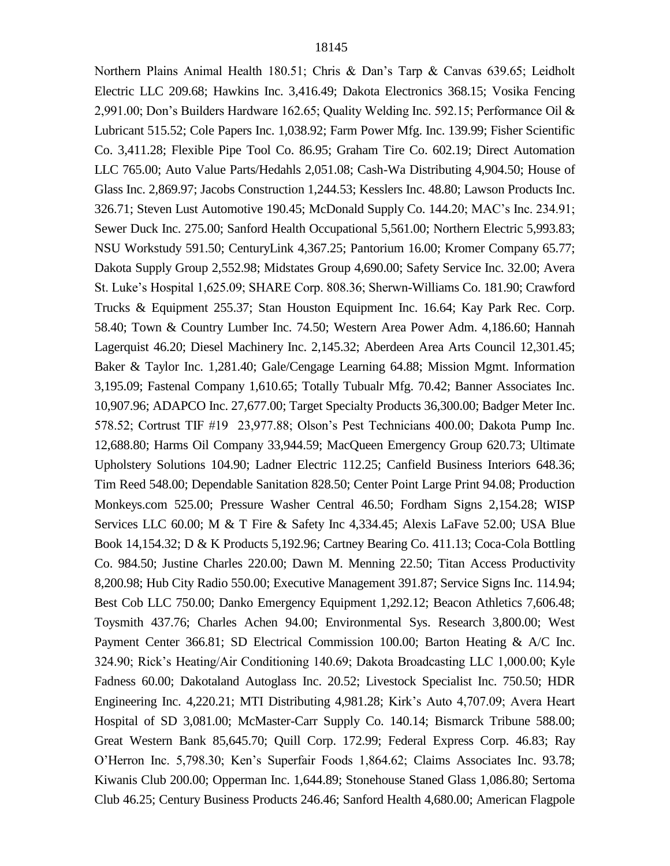Northern Plains Animal Health 180.51; Chris & Dan's Tarp & Canvas 639.65; Leidholt Electric LLC 209.68; Hawkins Inc. 3,416.49; Dakota Electronics 368.15; Vosika Fencing 2,991.00; Don's Builders Hardware 162.65; Quality Welding Inc. 592.15; Performance Oil & Lubricant 515.52; Cole Papers Inc. 1,038.92; Farm Power Mfg. Inc. 139.99; Fisher Scientific Co. 3,411.28; Flexible Pipe Tool Co. 86.95; Graham Tire Co. 602.19; Direct Automation LLC 765.00; Auto Value Parts/Hedahls 2,051.08; Cash-Wa Distributing 4,904.50; House of Glass Inc. 2,869.97; Jacobs Construction 1,244.53; Kesslers Inc. 48.80; Lawson Products Inc. 326.71; Steven Lust Automotive 190.45; McDonald Supply Co. 144.20; MAC's Inc. 234.91; Sewer Duck Inc. 275.00; Sanford Health Occupational 5,561.00; Northern Electric 5,993.83; NSU Workstudy 591.50; CenturyLink 4,367.25; Pantorium 16.00; Kromer Company 65.77; Dakota Supply Group 2,552.98; Midstates Group 4,690.00; Safety Service Inc. 32.00; Avera St. Luke's Hospital 1,625.09; SHARE Corp. 808.36; Sherwn-Williams Co. 181.90; Crawford Trucks & Equipment 255.37; Stan Houston Equipment Inc. 16.64; Kay Park Rec. Corp. 58.40; Town & Country Lumber Inc. 74.50; Western Area Power Adm. 4,186.60; Hannah Lagerquist 46.20; Diesel Machinery Inc. 2,145.32; Aberdeen Area Arts Council 12,301.45; Baker & Taylor Inc. 1,281.40; Gale/Cengage Learning 64.88; Mission Mgmt. Information 3,195.09; Fastenal Company 1,610.65; Totally Tubualr Mfg. 70.42; Banner Associates Inc. 10,907.96; ADAPCO Inc. 27,677.00; Target Specialty Products 36,300.00; Badger Meter Inc. 578.52; Cortrust TIF #19 23,977.88; Olson's Pest Technicians 400.00; Dakota Pump Inc. 12,688.80; Harms Oil Company 33,944.59; MacQueen Emergency Group 620.73; Ultimate Upholstery Solutions 104.90; Ladner Electric 112.25; Canfield Business Interiors 648.36; Tim Reed 548.00; Dependable Sanitation 828.50; Center Point Large Print 94.08; Production Monkeys.com 525.00; Pressure Washer Central 46.50; Fordham Signs 2,154.28; WISP Services LLC 60.00; M & T Fire & Safety Inc 4,334.45; Alexis LaFave 52.00; USA Blue Book 14,154.32; D & K Products 5,192.96; Cartney Bearing Co. 411.13; Coca-Cola Bottling Co. 984.50; Justine Charles 220.00; Dawn M. Menning 22.50; Titan Access Productivity 8,200.98; Hub City Radio 550.00; Executive Management 391.87; Service Signs Inc. 114.94; Best Cob LLC 750.00; Danko Emergency Equipment 1,292.12; Beacon Athletics 7,606.48; Toysmith 437.76; Charles Achen 94.00; Environmental Sys. Research 3,800.00; West Payment Center 366.81; SD Electrical Commission 100.00; Barton Heating & A/C Inc. 324.90; Rick's Heating/Air Conditioning 140.69; Dakota Broadcasting LLC 1,000.00; Kyle Fadness 60.00; Dakotaland Autoglass Inc. 20.52; Livestock Specialist Inc. 750.50; HDR Engineering Inc. 4,220.21; MTI Distributing 4,981.28; Kirk's Auto 4,707.09; Avera Heart Hospital of SD 3,081.00; McMaster-Carr Supply Co. 140.14; Bismarck Tribune 588.00; Great Western Bank 85,645.70; Quill Corp. 172.99; Federal Express Corp. 46.83; Ray O'Herron Inc. 5,798.30; Ken's Superfair Foods 1,864.62; Claims Associates Inc. 93.78; Kiwanis Club 200.00; Opperman Inc. 1,644.89; Stonehouse Staned Glass 1,086.80; Sertoma Club 46.25; Century Business Products 246.46; Sanford Health 4,680.00; American Flagpole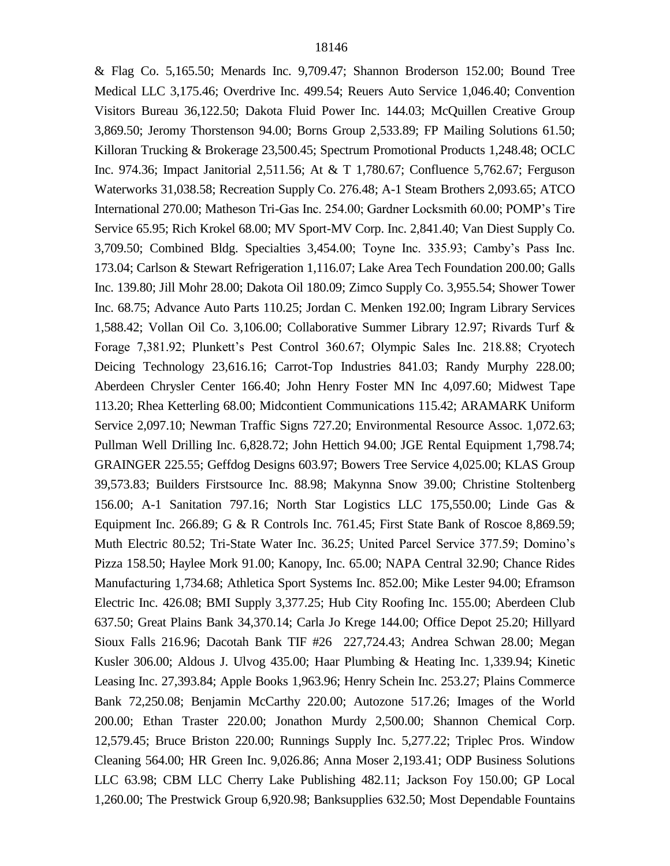& Flag Co. 5,165.50; Menards Inc. 9,709.47; Shannon Broderson 152.00; Bound Tree Medical LLC 3,175.46; Overdrive Inc. 499.54; Reuers Auto Service 1,046.40; Convention Visitors Bureau 36,122.50; Dakota Fluid Power Inc. 144.03; McQuillen Creative Group 3,869.50; Jeromy Thorstenson 94.00; Borns Group 2,533.89; FP Mailing Solutions 61.50; Killoran Trucking & Brokerage 23,500.45; Spectrum Promotional Products 1,248.48; OCLC Inc. 974.36; Impact Janitorial 2,511.56; At & T 1,780.67; Confluence 5,762.67; Ferguson Waterworks 31,038.58; Recreation Supply Co. 276.48; A-1 Steam Brothers 2,093.65; ATCO International 270.00; Matheson Tri-Gas Inc. 254.00; Gardner Locksmith 60.00; POMP's Tire Service 65.95; Rich Krokel 68.00; MV Sport-MV Corp. Inc. 2,841.40; Van Diest Supply Co. 3,709.50; Combined Bldg. Specialties 3,454.00; Toyne Inc. 335.93; Camby's Pass Inc. 173.04; Carlson & Stewart Refrigeration 1,116.07; Lake Area Tech Foundation 200.00; Galls Inc. 139.80; Jill Mohr 28.00; Dakota Oil 180.09; Zimco Supply Co. 3,955.54; Shower Tower Inc. 68.75; Advance Auto Parts 110.25; Jordan C. Menken 192.00; Ingram Library Services 1,588.42; Vollan Oil Co. 3,106.00; Collaborative Summer Library 12.97; Rivards Turf & Forage 7,381.92; Plunkett's Pest Control 360.67; Olympic Sales Inc. 218.88; Cryotech Deicing Technology 23,616.16; Carrot-Top Industries 841.03; Randy Murphy 228.00; Aberdeen Chrysler Center 166.40; John Henry Foster MN Inc 4,097.60; Midwest Tape 113.20; Rhea Ketterling 68.00; Midcontient Communications 115.42; ARAMARK Uniform Service 2,097.10; Newman Traffic Signs 727.20; Environmental Resource Assoc. 1,072.63; Pullman Well Drilling Inc. 6,828.72; John Hettich 94.00; JGE Rental Equipment 1,798.74; GRAINGER 225.55; Geffdog Designs 603.97; Bowers Tree Service 4,025.00; KLAS Group 39,573.83; Builders Firstsource Inc. 88.98; Makynna Snow 39.00; Christine Stoltenberg 156.00; A-1 Sanitation 797.16; North Star Logistics LLC 175,550.00; Linde Gas & Equipment Inc. 266.89; G & R Controls Inc. 761.45; First State Bank of Roscoe 8,869.59; Muth Electric 80.52; Tri-State Water Inc. 36.25; United Parcel Service 377.59; Domino's Pizza 158.50; Haylee Mork 91.00; Kanopy, Inc. 65.00; NAPA Central 32.90; Chance Rides Manufacturing 1,734.68; Athletica Sport Systems Inc. 852.00; Mike Lester 94.00; Eframson Electric Inc. 426.08; BMI Supply 3,377.25; Hub City Roofing Inc. 155.00; Aberdeen Club 637.50; Great Plains Bank 34,370.14; Carla Jo Krege 144.00; Office Depot 25.20; Hillyard Sioux Falls 216.96; Dacotah Bank TIF #26 227,724.43; Andrea Schwan 28.00; Megan Kusler 306.00; Aldous J. Ulvog 435.00; Haar Plumbing & Heating Inc. 1,339.94; Kinetic Leasing Inc. 27,393.84; Apple Books 1,963.96; Henry Schein Inc. 253.27; Plains Commerce Bank 72,250.08; Benjamin McCarthy 220.00; Autozone 517.26; Images of the World 200.00; Ethan Traster 220.00; Jonathon Murdy 2,500.00; Shannon Chemical Corp. 12,579.45; Bruce Briston 220.00; Runnings Supply Inc. 5,277.22; Triplec Pros. Window Cleaning 564.00; HR Green Inc. 9,026.86; Anna Moser 2,193.41; ODP Business Solutions LLC 63.98; CBM LLC Cherry Lake Publishing 482.11; Jackson Foy 150.00; GP Local 1,260.00; The Prestwick Group 6,920.98; Banksupplies 632.50; Most Dependable Fountains